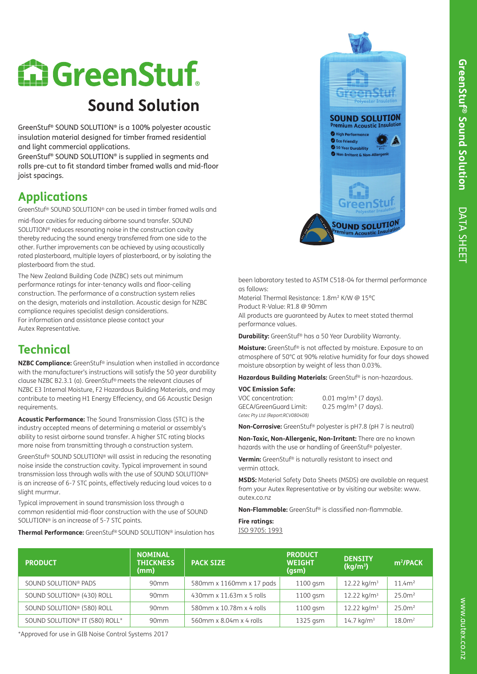# **CareenStuf Sound Solution**

GreenStuf® SOUND SOLUTION® is a 100% polyester acoustic insulation material designed for timber framed residential and light commercial applications.

GreenStuf® SOUND SOLUTION® is supplied in segments and rolls pre-cut to fit standard timber framed walls and mid-floor joist spacings.

## **Applications**

GreenStuf® SOUND SOLUTION® can be used in timber framed walls and

mid-floor cavities for reducing airborne sound transfer. SOUND SOLUTION® reduces resonating noise in the construction cavity thereby reducing the sound energy transferred from one side to the other. Further improvements can be achieved by using acoustically rated plasterboard, multiple layers of plasterboard, or by isolating the plasterboard from the stud.

The New Zealand Building Code (NZBC) sets out minimum performance ratings for inter-tenancy walls and floor-ceiling construction. The performance of a construction system relies on the design, materials and installation. Acoustic design for NZBC compliance requires specialist design considerations. For information and assistance please contact your Autex Representative.

## **Technical**

**NZBC Compliance:** GreenStuf® insulation when installed in accordance with the manufacturer's instructions will satisfy the 50 year durability clause NZBC B2.3.1 (a). GreenStuf® meets the relevant clauses of NZBC E3 Internal Moisture, F2 Hazardous Building Materials, and may contribute to meeting H1 Energy Effeciency, and G6 Acoustic Design requirements.

**Acoustic Performance:** The Sound Transmission Class (STC) is the industry accepted means of determining a material or assembly's ability to resist airborne sound transfer. A higher STC rating blocks more noise from transmitting through a construction system.

GreenStuf® SOUND SOLUTION® will assist in reducing the resonating noise inside the construction cavity. Typical improvement in sound transmission loss through walls with the use of SOUND SOLUTION® is an increase of 6-7 STC points, effectively reducing loud voices to a slight murmur.

Typical improvement in sound transmission loss through a common residential mid-floor construction with the use of SOUND SOLUTION® is an increase of 5-7 STC points.

**Thermal Performance:** GreenStuf® SOUND SOLUTION® insulation has



been laboratory tested to ASTM C518-04 for thermal performance as follows:

Material Thermal Resistance: 1.8m² K/W @ 15ºC Product R-Value: R1.8 @ 90mm

All products are guaranteed by Autex to meet stated thermal performance values.

**Durability:** GreenStuf® has a 50 Year Durability Warranty.

**Moisture:** GreenStuf® is not affected by moisture. Exposure to an atmosphere of 50°C at 90% relative humidity for four days showed moisture absorption by weight of less than 0.03%.

> days). days).

**Hazardous Building Materials:** GreenStuf® is non-hazardous.

| <b>VOC Emission Safe:</b>        |                              |
|----------------------------------|------------------------------|
| VOC concentration:               | $0.01 \text{ mg/m}^3$ (7     |
| <b>GECA/GreenGuard Limit:</b>    | $0.25$ mg/m <sup>3</sup> (7) |
| Cetec Pty Ltd (Report:RCV080408) |                              |

**Non-Corrosive:** GreenStuf® polyester is pH7.8 (pH 7 is neutral)

**Non-Toxic, Non-Allergenic, Non-Irritant:** There are no known hazards with the use or handling of GreenStuf® polyester.

**Vermin:** GreenStuf® is naturally resistant to insect and vermin attack.

**MSDS:** Material Safety Data Sheets (MSDS) are available on request from your Autex Representative or by visiting our website: www. autex.co.nz

**Non-Flammable:** GreenStuf<sup>®</sup> is classified non-flammable.

**Fire ratings:** ISO 9705: 1993

| <b>PRODUCT</b>                         | <b>NOMINAL</b><br><b>THICKNESS</b><br>(mm) | <b>PACK SIZE</b>         | <b>PRODUCT</b><br><b>WEIGHT</b><br>(gsm) | <b>DENSITY</b><br>(kg/m <sup>3</sup> ) | m <sup>2</sup> /PACK |
|----------------------------------------|--------------------------------------------|--------------------------|------------------------------------------|----------------------------------------|----------------------|
| SOUND SOLUTION <sup>®</sup> PADS       | 90 <sub>mm</sub>                           | 580mm x 1160mm x 17 pads | $1100$ gsm                               | 12.22 kg/m <sup>3</sup>                | 11.4m <sup>2</sup>   |
| SOUND SOLUTION <sup>®</sup> (430) ROLL | 90 <sub>mm</sub>                           | 430mm x 11.63m x 5 rolls | 1100 gsm                                 | 12.22 kg/m <sup>3</sup>                | 25.0 <sup>m²</sup>   |
| SOUND SOLUTION <sup>®</sup> (580) ROLL | 90 <sub>mm</sub>                           | 580mm x 10.78m x 4 rolls | 1100 gsm                                 | $12.22 \text{ kg/m}^3$                 | 25.0 <sup>m²</sup>   |
| SOUND SOLUTION® IT (580) ROLL*         | 90 <sub>mm</sub>                           | 560mm x 8.04m x 4 rolls  | $1325$ gsm                               | $14.7 \text{ kg/m}^3$                  | 18.0 <sup>2</sup>    |

\*Approved for use in GIB Noise Control Systems 2017